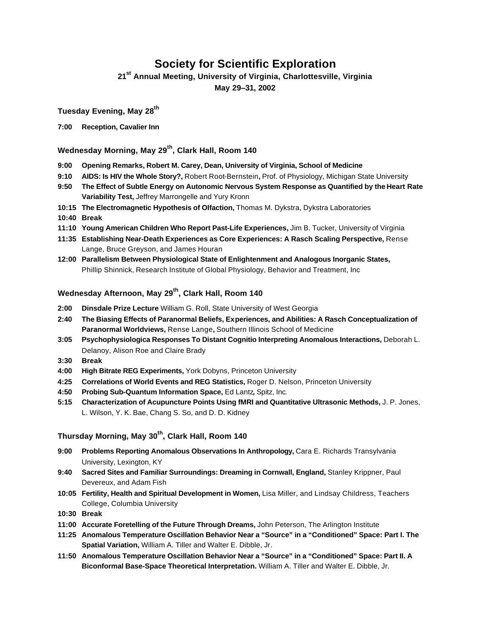# **Society for Scientific Exploration**

**21st Annual Meeting, University of Virginia, Charlottesville, Virginia**

**May 29–31, 2002**

**Tuesday Evening, May 28th**

**7:00 Reception, Cavalier Inn**

#### **Wednesday Morning, May 29th, Clark Hall, Room 140**

- **9:00 Opening Remarks, Robert M. Carey, Dean, University of Virginia, School of Medicine**
- **9:10 AIDS: Is HIV the Whole Story?,** Robert Root-Bernstein**,** Prof. of Physiology, Michigan State University
- **9:50 The Effect of Subtle Energy on Autonomic Nervous System Response as Quantified by the Heart Rate Variability Test,** Jeffrey Marrongelle and Yury Kronn
- **10:15 The Electromagnetic Hypothesis of Olfaction,** Thomas M. Dykstra, Dykstra Laboratories
- **10:40 Break**
- **11:10 Young American Children Who Report Past-Life Experiences,** Jim B. Tucker, University of Virginia
- **11:35 Establishing Near-Death Experiences as Core Experiences: A Rasch Scaling Perspective,** Rense Lange, Bruce Greyson, and James Houran
- **12:00 Parallelism Between Physiological State of Enlightenment and Analogous Inorganic States,** Phillip Shinnick, Research Institute of Global Physiology, Behavior and Treatment, Inc

### **Wednesday Afternoon, May 29th, Clark Hall, Room 140**

- **2:00 Dinsdale Prize Lecture** William G. Roll, State University of West Georgia
- **2:40 The Biasing Effects of Paranormal Beliefs, Experiences, and Abilities: A Rasch Conceptualization of Paranormal Worldviews,** Rense Lange**,** Southern Illinois School of Medicine
- **3:05 Psychophysiologica Responses To Distant Cognitio Interpreting Anomalous Interactions,** Deborah L. Delanoy, Alison Roe and Claire Brady
- **3:30 Break**
- **4:00 High Bitrate REG Experiments,** York Dobyns, Princeton University
- **4:25 Correlations of World Events and REG Statistics,** Roger D. Nelson, Princeton University
- **4:50 Probing Sub-Quantum Information Space,** Ed Lantz*,* Spitz, Inc*.*
- **5:15 Characterization of Acupuncture Points Using fMRI and Quantitative Ultrasonic Methods,** J. P. Jones, L. Wilson, Y. K. Bae, Chang S. So, and D. D. Kidney

#### **Thursday Morning, May 30th, Clark Hall, Room 140**

- **9:00 Problems Reporting Anomalous Observations In Anthropology,** Cara E. Richards Transylvania University, Lexington, KY
- **9:40 Sacred Sites and Familiar Surroundings: Dreaming in Cornwall, England,** Stanley Krippner, Paul Devereux, and Adam Fish
- **10:05 Fertility, Health and Spiritual Development in Women,** Lisa Miller, and Lindsay Childress, Teachers College, Columbia University
- **10:30 Break**
- **11:00 Accurate Foretelling of the Future Through Dreams,** John Peterson, The Arlington Institute
- **11:25 Anomalous Temperature Oscillation Behavior Near a "Source" in a "Conditioned" Space: Part I. The Spatial Variation,** William A. Tiller and Walter E. Dibble, Jr.
- **11:50 Anomalous Temperature Oscillation Behavior Near a "Source" in a "Conditioned" Space: Part II. A Biconformal Base-Space Theoretical Interpretation.** William A. Tiller and Walter E. Dibble, Jr.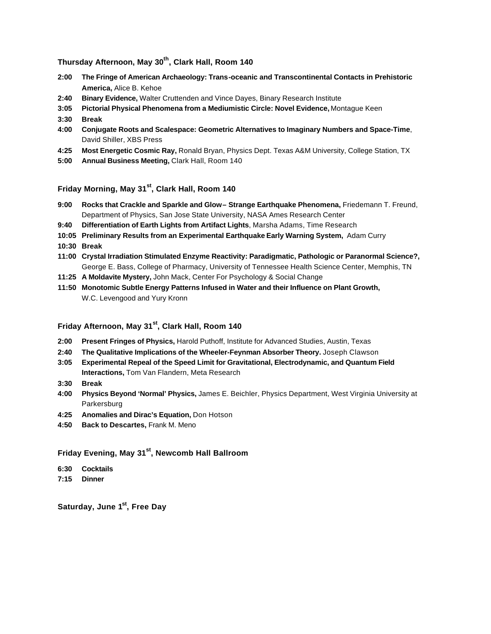#### **Thursday Afternoon, May 30th, Clark Hall, Room 140**

- **2:00 The Fringe of American Archaeology: Trans-oceanic and Transcontinental Contacts in Prehistoric America,** Alice B. Kehoe
- **2:40 Binary Evidence,** Walter Cruttenden and Vince Dayes, Binary Research Institute
- **3:05 Pictorial Physical Phenomena from a Mediumistic Circle: Novel Evidence,** Montague Keen
- **3:30 Break**
- **4:00 Conjugate Roots and Scalespace: Geometric Alternatives to Imaginary Numbers and Space-Time**, David Shiller, XBS Press
- **4:25 Most Energetic Cosmic Ray,** Ronald Bryan, Physics Dept. Texas A&M University, College Station, TX
- **5:00 Annual Business Meeting,** Clark Hall, Room 140

#### **Friday Morning, May 31st, Clark Hall, Room 140**

- **9:00 Rocks that Crackle and Sparkle and Glow– Strange Earthquake Phenomena,** Friedemann T. Freund, Department of Physics, San Jose State University, NASA Ames Research Center
- **9:40 Differentiation of Earth Lights from Artifact Lights**, Marsha Adams, Time Research
- **10:05 Preliminary Results from an Experimental Earthquake Early Warning System,** Adam Curry
- **10:30 Break**
- **11:00 Crystal Irradiation Stimulated Enzyme Reactivity: Paradigmatic, Pathologic or Paranormal Science?,**  George E. Bass, College of Pharmacy, University of Tennessee Health Science Center, Memphis, TN
- **11:25 A Moldavite Mystery,** John Mack, Center For Psychology & Social Change
- **11:50 Monotomic Subtle Energy Patterns Infused in Water and their Influence on Plant Growth,** W.C. Levengood and Yury Kronn

#### **Friday Afternoon, May 31st, Clark Hall, Room 140**

- **2:00 Present Fringes of Physics,** Harold Puthoff, Institute for Advanced Studies, Austin, Texas
- **2:40 The Qualitative Implications of the Wheeler-Feynman Absorber Theory.** Joseph Clawson
- **3:05 Experimental Repeal of the Speed Limit for Gravitational, Electrodynamic, and Quantum Field Interactions,** Tom Van Flandern, Meta Research
- **3:30 Break**
- **4:00 Physics Beyond 'Normal' Physics,** James E. Beichler, Physics Department, West Virginia University at Parkersburg
- **4:25 Anomalies and Dirac's Equation,** Don Hotson
- **4:50 Back to Descartes,** Frank M. Meno

## **Friday Evening, May 31st, Newcomb Hall Ballroom**

- **6:30 Cocktails**
- **7:15 Dinner**

**Saturday, June 1st, Free Day**